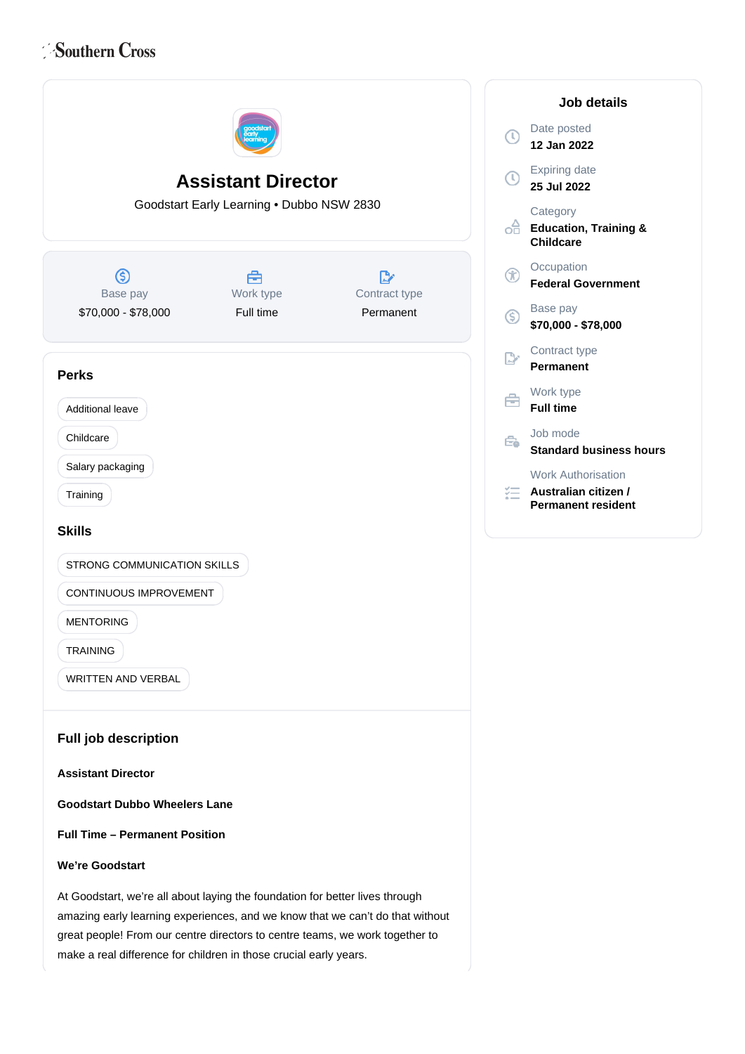# Southern Cross



**Job details** Date posted **12 Jan 2022** Expiring date **25 Jul 2022 Category Education, Training & Childcare Occupation Federal Government** Base pay **\$70,000 - \$78,000** Contract type **Permanent** Work type **Full time** Job mode **Standard business hours** Work Authorisation **Australian citizen / Permanent resident**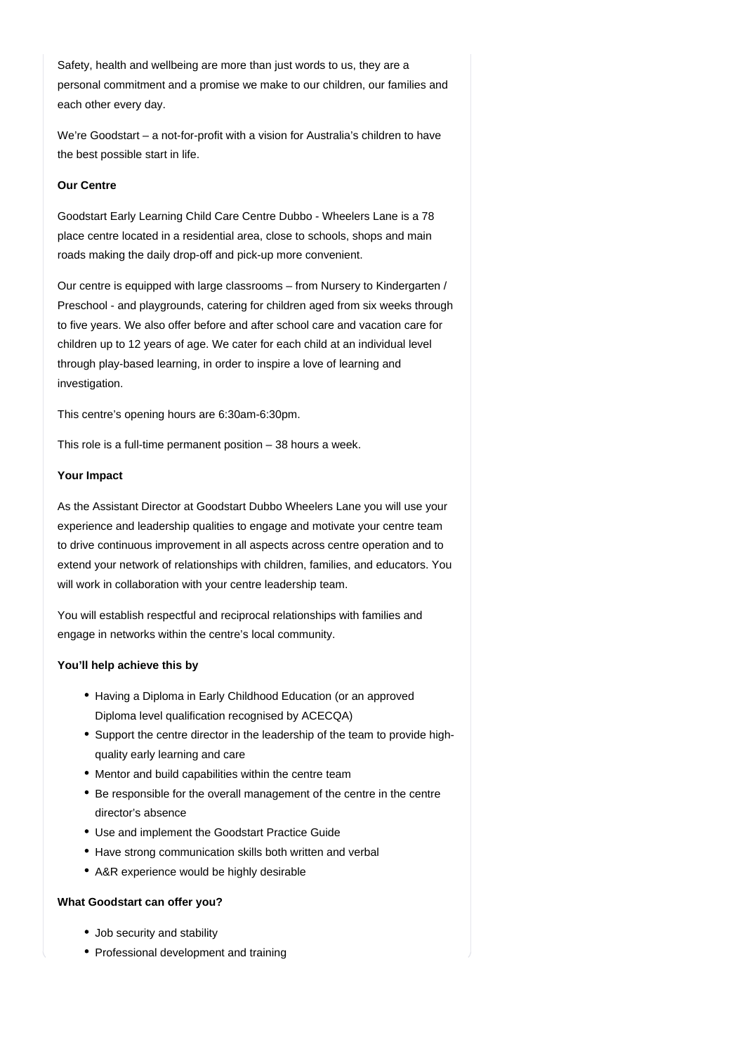Safety, health and wellbeing are more than just words to us, they are a personal commitment and a promise we make to our children, our families and each other every day.

We're Goodstart – a not-for-profit with a vision for Australia's children to have the best possible start in life.

## **Our Centre**

Goodstart Early Learning Child Care Centre Dubbo - Wheelers Lane is a 78 place centre located in a residential area, close to schools, shops and main roads making the daily drop-off and pick-up more convenient.

Our centre is equipped with large classrooms – from Nursery to Kindergarten / Preschool - and playgrounds, catering for children aged from six weeks through to five years. We also offer before and after school care and vacation care for children up to 12 years of age. We cater for each child at an individual level through play-based learning, in order to inspire a love of learning and investigation.

This centre's opening hours are 6:30am-6:30pm.

This role is a full-time permanent position – 38 hours a week.

#### **Your Impact**

As the Assistant Director at Goodstart Dubbo Wheelers Lane you will use your experience and leadership qualities to engage and motivate your centre team to drive continuous improvement in all aspects across centre operation and to extend your network of relationships with children, families, and educators. You will work in collaboration with your centre leadership team.

You will establish respectful and reciprocal relationships with families and engage in networks within the centre's local community.

#### **You'll help achieve this by**

- Having a Diploma in Early Childhood Education (or an approved Diploma level qualification recognised by ACECQA)
- Support the centre director in the leadership of the team to provide highquality early learning and care
- Mentor and build capabilities within the centre team
- Be responsible for the overall management of the centre in the centre director's absence
- Use and implement the Goodstart Practice Guide
- Have strong communication skills both written and verbal
- A&R experience would be highly desirable

## **What Goodstart can offer you?**

- Job security and stability
- Professional development and training